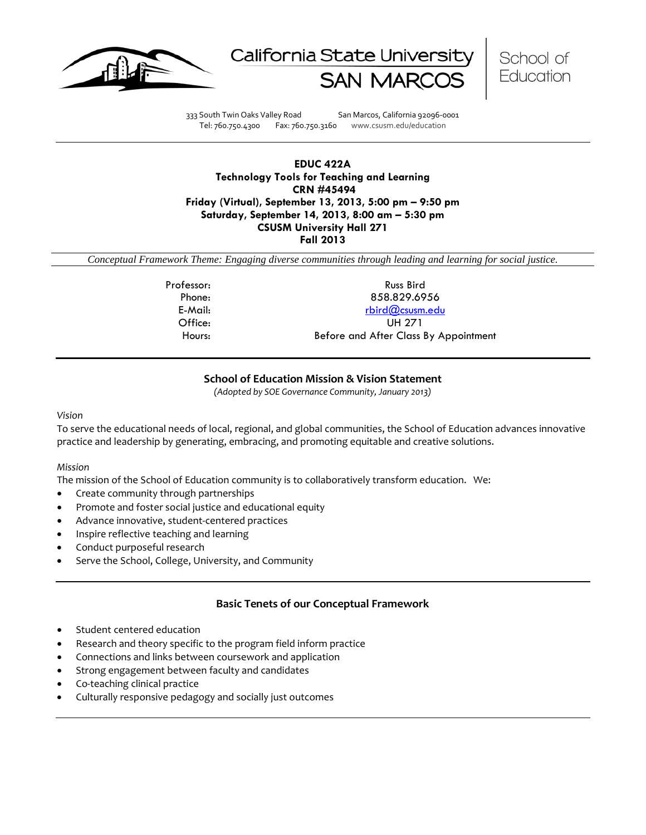





333 South Twin Oaks Valley Road San Marcos, California 92096-0001 Tel: 760.750.4300 Fax: 760.750.3160 www.csusm.edu/education

## **EDUC 422A Technology Tools for Teaching and Learning CRN #45494 Friday (Virtual), September 13, 2013, 5:00 pm – 9:50 pm Saturday, September 14, 2013, 8:00 am – 5:30 pm CSUSM University Hall 271 Fall 2013**

*Conceptual Framework Theme: Engaging diverse communities through leading and learning for social justice.*

Professor: Russ Bird Phone: 858.829.6956 E-Mail: [rbird@csusm.edu](mailto:rbird@csusm.edu) Office: UH 271 Hours: Before and After Class By Appointment

## **School of Education Mission & Vision Statement**

*(Adopted by SOE Governance Community, January 2013)*

#### *Vision*

To serve the educational needs of local, regional, and global communities, the School of Education advances innovative practice and leadership by generating, embracing, and promoting equitable and creative solutions.

### *Mission*

The mission of the School of Education community is to collaboratively transform education. We:

- Create community through partnerships
- Promote and foster social justice and educational equity
- Advance innovative, student-centered practices
- Inspire reflective teaching and learning
- Conduct purposeful research
- Serve the School, College, University, and Community

## **Basic Tenets of our Conceptual Framework**

- Student centered education
- Research and theory specific to the program field inform practice
- Connections and links between coursework and application
- Strong engagement between faculty and candidates
- Co-teaching clinical practice
- Culturally responsive pedagogy and socially just outcomes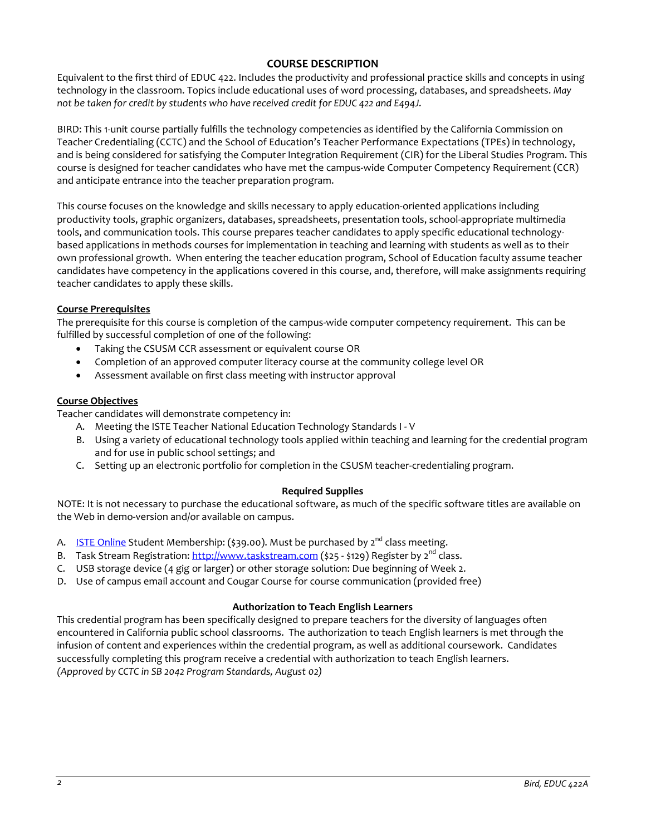## **COURSE DESCRIPTION**

Equivalent to the first third of EDUC 422. Includes the productivity and professional practice skills and concepts in using technology in the classroom. Topics include educational uses of word processing, databases, and spreadsheets. *May not be taken for credit by students who have received credit for EDUC 422 and E494J.*

BIRD: This 1-unit course partially fulfills the technology competencies as identified by the California Commission on Teacher Credentialing (CCTC) and the School of Education's Teacher Performance Expectations (TPEs) in technology, and is being considered for satisfying the Computer Integration Requirement (CIR) for the Liberal Studies Program. This course is designed for teacher candidates who have met the campus-wide Computer Competency Requirement (CCR) and anticipate entrance into the teacher preparation program.

This course focuses on the knowledge and skills necessary to apply education-oriented applications including productivity tools, graphic organizers, databases, spreadsheets, presentation tools, school-appropriate multimedia tools, and communication tools. This course prepares teacher candidates to apply specific educational technologybased applications in methods courses for implementation in teaching and learning with students as well as to their own professional growth. When entering the teacher education program, School of Education faculty assume teacher candidates have competency in the applications covered in this course, and, therefore, will make assignments requiring teacher candidates to apply these skills.

### **Course Prerequisites**

The prerequisite for this course is completion of the campus-wide computer competency requirement. This can be fulfilled by successful completion of one of the following:

- Taking the CSUSM CCR assessment or equivalent course OR
- Completion of an approved computer literacy course at the community college level OR
- Assessment available on first class meeting with instructor approval

### **Course Objectives**

Teacher candidates will demonstrate competency in:

- A. Meeting the ISTE Teacher National Education Technology Standards I V
- B. Using a variety of educational technology tools applied within teaching and learning for the credential program and for use in public school settings; and
- C. Setting up an electronic portfolio for completion in the CSUSM teacher-credentialing program.

### **Required Supplies**

NOTE: It is not necessary to purchase the educational software, as much of the specific software titles are available on the Web in demo-version and/or available on campus.

- A. **[ISTE Online](http://www.google.com/url?q=http%3A%2F%2Fwww.iste.org&sa=D&sntz=1&usg=AFQjCNF6stTT3JrR7_WM904Vk5P6PItkKg) Student Membership:** (\$39.00). Must be purchased by  $2^{nd}$  class meeting.
- B. Task Stream Registration: [http://www.taskstream.com](http://www.google.com/url?q=http%3A%2F%2Fwww.taskstream.com&sa=D&sntz=1&usg=AFQjCNHOd15IzWSqImfDsL6_OUheLA7dqA) (\$25 \$129) Register by  $2^{nd}$  class.
- C. USB storage device (4 gig or larger) or other storage solution: Due beginning of Week 2.
- D. Use of campus email account and Cougar Course for course communication (provided free)

### **Authorization to Teach English Learners**

This credential program has been specifically designed to prepare teachers for the diversity of languages often encountered in California public school classrooms. The authorization to teach English learners is met through the infusion of content and experiences within the credential program, as well as additional coursework. Candidates successfully completing this program receive a credential with authorization to teach English learners. *(Approved by CCTC in SB 2042 Program Standards, August 02)*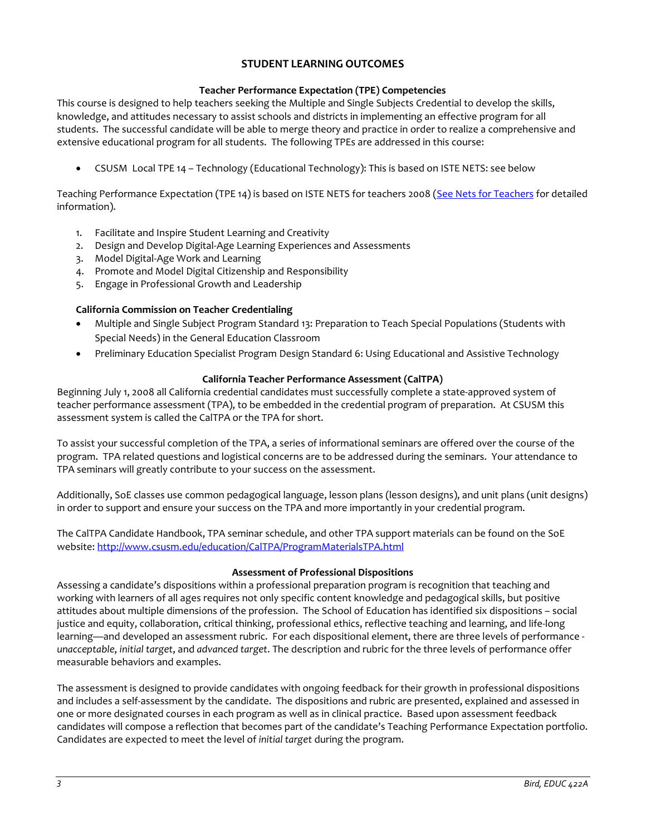# **STUDENT LEARNING OUTCOMES**

### **Teacher Performance Expectation (TPE) Competencies**

This course is designed to help teachers seeking the Multiple and Single Subjects Credential to develop the skills, knowledge, and attitudes necessary to assist schools and districts in implementing an effective program for all students. The successful candidate will be able to merge theory and practice in order to realize a comprehensive and extensive educational program for all students. The following TPEs are addressed in this course:

• CSUSM Local TPE 14 – Technology (Educational Technology): This is based on ISTE NETS: see below

Teaching Performance Expectation (TPE 14) is based on ISTE NETS for teachers 2008 [\(See Nets for Teachers](http://www.google.com/url?q=http%3A%2F%2Fwww.iste.org%2FContent%2FNavigationMenu%2FNETS%2FForTeachers%2F2008Standards%2FNETS_T_Standards_Final.pdf&sa=D&sntz=1&usg=AFQjCNEz4PHdtAi9l905hV3nyMzx8A1RQg) for detailed information).

- 1. Facilitate and Inspire Student Learning and Creativity
- 2. Design and Develop Digital-Age Learning Experiences and Assessments
- 3. Model Digital-Age Work and Learning
- 4. Promote and Model Digital Citizenship and Responsibility
- 5. Engage in Professional Growth and Leadership

### **California Commission on Teacher Credentialing**

- Multiple and Single Subject Program Standard 13: Preparation to Teach Special Populations (Students with Special Needs) in the General Education Classroom
- Preliminary Education Specialist Program Design Standard 6: Using Educational and Assistive Technology

### **California Teacher Performance Assessment (CalTPA)**

Beginning July 1, 2008 all California credential candidates must successfully complete a state-approved system of teacher performance assessment (TPA), to be embedded in the credential program of preparation. At CSUSM this assessment system is called the CalTPA or the TPA for short.

To assist your successful completion of the TPA, a series of informational seminars are offered over the course of the program. TPA related questions and logistical concerns are to be addressed during the seminars. Your attendance to TPA seminars will greatly contribute to your success on the assessment.

Additionally, SoE classes use common pedagogical language, lesson plans (lesson designs), and unit plans (unit designs) in order to support and ensure your success on the TPA and more importantly in your credential program.

The CalTPA Candidate Handbook, TPA seminar schedule, and other TPA support materials can be found on the SoE website: <http://www.csusm.edu/education/CalTPA/ProgramMaterialsTPA.html>

### **Assessment of Professional Dispositions**

Assessing a candidate's dispositions within a professional preparation program is recognition that teaching and working with learners of all ages requires not only specific content knowledge and pedagogical skills, but positive attitudes about multiple dimensions of the profession. The School of Education has identified six dispositions – social justice and equity, collaboration, critical thinking, professional ethics, reflective teaching and learning, and life-long learning—and developed an assessment rubric. For each dispositional element, there are three levels of performance *unacceptable*, *initial target*, and *advanced target*. The description and rubric for the three levels of performance offer measurable behaviors and examples.

The assessment is designed to provide candidates with ongoing feedback for their growth in professional dispositions and includes a self-assessment by the candidate. The dispositions and rubric are presented, explained and assessed in one or more designated courses in each program as well as in clinical practice. Based upon assessment feedback candidates will compose a reflection that becomes part of the candidate's Teaching Performance Expectation portfolio. Candidates are expected to meet the level of *initial target* during the program.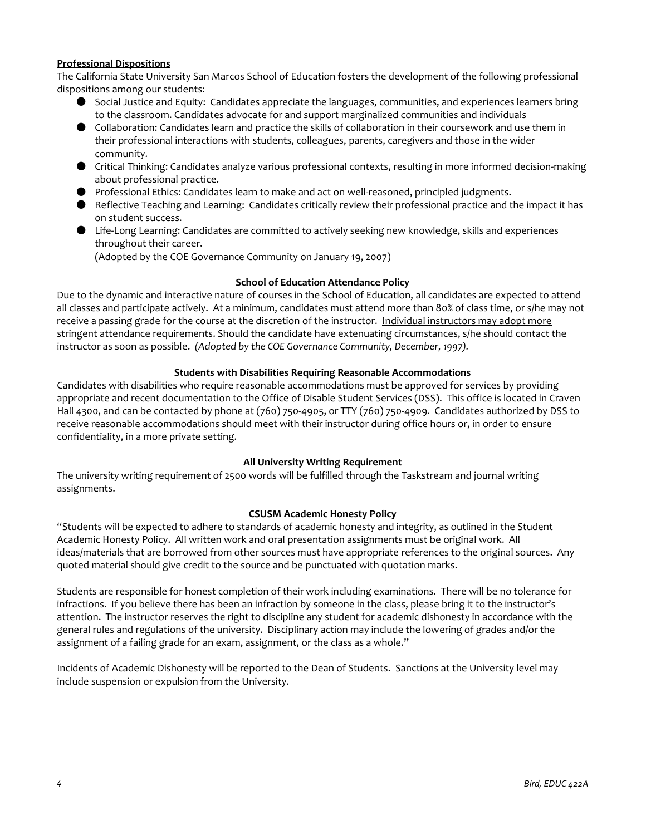### **Professional Dispositions**

The California State University San Marcos School of Education fosters the development of the following professional dispositions among our students:

- Social Justice and Equity: Candidates appreciate the languages, communities, and experiences learners bring to the classroom. Candidates advocate for and support marginalized communities and individuals
- Collaboration: Candidates learn and practice the skills of collaboration in their coursework and use them in their professional interactions with students, colleagues, parents, caregivers and those in the wider community.
- Critical Thinking: Candidates analyze various professional contexts, resulting in more informed decision-making about professional practice.
- Professional Ethics: Candidates learn to make and act on well-reasoned, principled judgments.
- Reflective Teaching and Learning: Candidates critically review their professional practice and the impact it has on student success.
- Life-Long Learning: Candidates are committed to actively seeking new knowledge, skills and experiences throughout their career.

(Adopted by the COE Governance Community on January 19, 2007)

### **School of Education Attendance Policy**

Due to the dynamic and interactive nature of courses in the School of Education, all candidates are expected to attend all classes and participate actively. At a minimum, candidates must attend more than 80% of class time, or s/he may not receive a passing grade for the course at the discretion of the instructor. Individual instructors may adopt more stringent attendance requirements. Should the candidate have extenuating circumstances, s/he should contact the instructor as soon as possible. *(Adopted by the COE Governance Community, December, 1997).*

### **Students with Disabilities Requiring Reasonable Accommodations**

Candidates with disabilities who require reasonable accommodations must be approved for services by providing appropriate and recent documentation to the Office of Disable Student Services (DSS). This office is located in Craven Hall 4300, and can be contacted by phone at (760) 750-4905, or TTY (760) 750-4909. Candidates authorized by DSS to receive reasonable accommodations should meet with their instructor during office hours or, in order to ensure confidentiality, in a more private setting.

### **All University Writing Requirement**

The university writing requirement of 2500 words will be fulfilled through the Taskstream and journal writing assignments.

### **CSUSM Academic Honesty Policy**

"Students will be expected to adhere to standards of academic honesty and integrity, as outlined in the Student Academic Honesty Policy. All written work and oral presentation assignments must be original work. All ideas/materials that are borrowed from other sources must have appropriate references to the original sources. Any quoted material should give credit to the source and be punctuated with quotation marks.

Students are responsible for honest completion of their work including examinations. There will be no tolerance for infractions. If you believe there has been an infraction by someone in the class, please bring it to the instructor's attention. The instructor reserves the right to discipline any student for academic dishonesty in accordance with the general rules and regulations of the university. Disciplinary action may include the lowering of grades and/or the assignment of a failing grade for an exam, assignment, or the class as a whole."

Incidents of Academic Dishonesty will be reported to the Dean of Students. Sanctions at the University level may include suspension or expulsion from the University.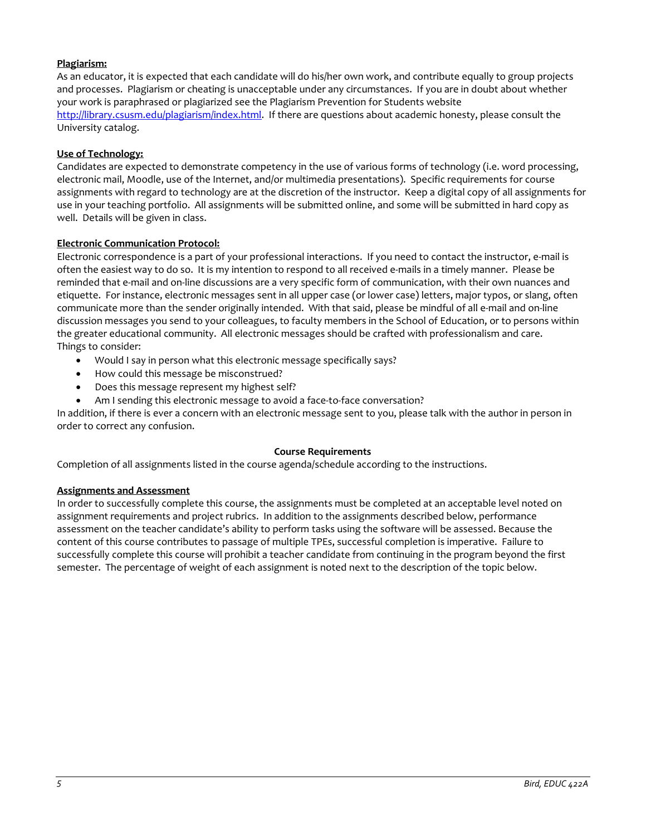## **Plagiarism:**

As an educator, it is expected that each candidate will do his/her own work, and contribute equally to group projects and processes. Plagiarism or cheating is unacceptable under any circumstances. If you are in doubt about whether your work is paraphrased or plagiarized see the Plagiarism Prevention for Students website [http://library.csusm.edu/plagiarism/index.html.](http://library.csusm.edu/plagiarism/index.html) If there are questions about academic honesty, please consult the University catalog.

### **Use of Technology:**

Candidates are expected to demonstrate competency in the use of various forms of technology (i.e. word processing, electronic mail, Moodle, use of the Internet, and/or multimedia presentations). Specific requirements for course assignments with regard to technology are at the discretion of the instructor. Keep a digital copy of all assignments for use in your teaching portfolio. All assignments will be submitted online, and some will be submitted in hard copy as well. Details will be given in class.

### **Electronic Communication Protocol:**

Electronic correspondence is a part of your professional interactions. If you need to contact the instructor, e-mail is often the easiest way to do so. It is my intention to respond to all received e-mails in a timely manner. Please be reminded that e-mail and on-line discussions are a very specific form of communication, with their own nuances and etiquette. For instance, electronic messages sent in all upper case (or lower case) letters, major typos, or slang, often communicate more than the sender originally intended. With that said, please be mindful of all e-mail and on-line discussion messages you send to your colleagues, to faculty members in the School of Education, or to persons within the greater educational community. All electronic messages should be crafted with professionalism and care. Things to consider:

- Would I say in person what this electronic message specifically says?
- How could this message be misconstrued?
- Does this message represent my highest self?
- Am I sending this electronic message to avoid a face-to-face conversation?

In addition, if there is ever a concern with an electronic message sent to you, please talk with the author in person in order to correct any confusion.

### **Course Requirements**

Completion of all assignments listed in the course agenda/schedule according to the instructions.

### **Assignments and Assessment**

In order to successfully complete this course, the assignments must be completed at an acceptable level noted on assignment requirements and project rubrics. In addition to the assignments described below, performance assessment on the teacher candidate's ability to perform tasks using the software will be assessed. Because the content of this course contributes to passage of multiple TPEs, successful completion is imperative. Failure to successfully complete this course will prohibit a teacher candidate from continuing in the program beyond the first semester. The percentage of weight of each assignment is noted next to the description of the topic below.